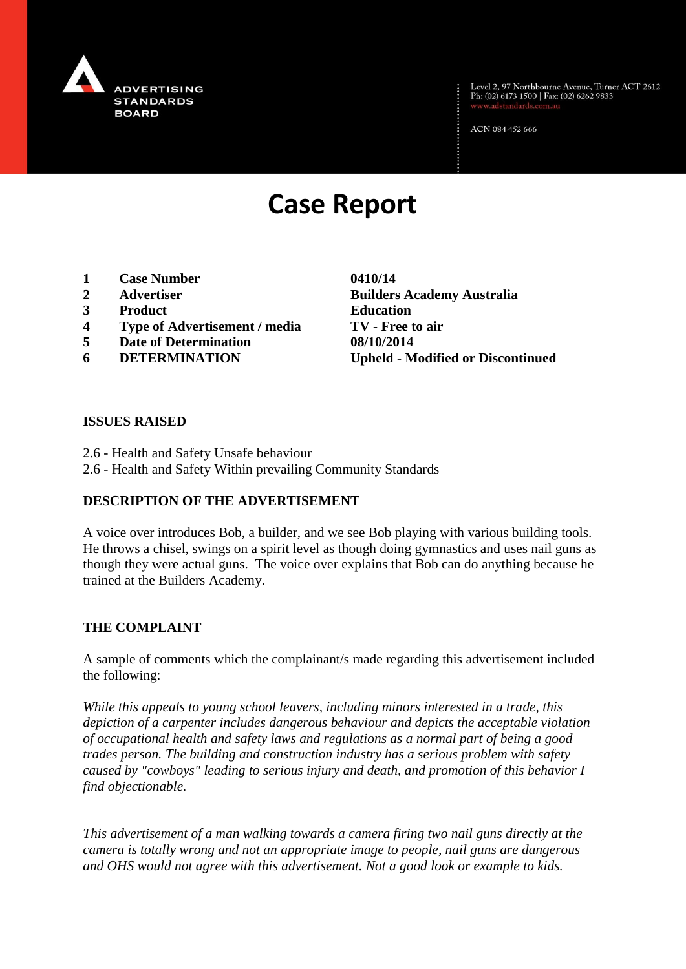

Level 2, 97 Northbourne Avenue, Turner ACT 2612<br>Ph: (02) 6173 1500 | Fax: (02) 6262 9833

ACN 084 452 666

# **Case Report**

- **1 Case Number 0410/14**
- 
- **3 Product Education**
- **4 Type of Advertisement / media TV - Free to air**
- **5 Date of Determination 08/10/2014**
- 

**2 Advertiser Builders Academy Australia 6 DETERMINATION Upheld - Modified or Discontinued**

#### **ISSUES RAISED**

- 2.6 Health and Safety Unsafe behaviour
- 2.6 Health and Safety Within prevailing Community Standards

## **DESCRIPTION OF THE ADVERTISEMENT**

A voice over introduces Bob, a builder, and we see Bob playing with various building tools. He throws a chisel, swings on a spirit level as though doing gymnastics and uses nail guns as though they were actual guns. The voice over explains that Bob can do anything because he trained at the Builders Academy.

#### **THE COMPLAINT**

A sample of comments which the complainant/s made regarding this advertisement included the following:

*While this appeals to young school leavers, including minors interested in a trade, this depiction of a carpenter includes dangerous behaviour and depicts the acceptable violation of occupational health and safety laws and regulations as a normal part of being a good trades person. The building and construction industry has a serious problem with safety caused by "cowboys" leading to serious injury and death, and promotion of this behavior I find objectionable.*

*This advertisement of a man walking towards a camera firing two nail guns directly at the camera is totally wrong and not an appropriate image to people, nail guns are dangerous and OHS would not agree with this advertisement. Not a good look or example to kids.*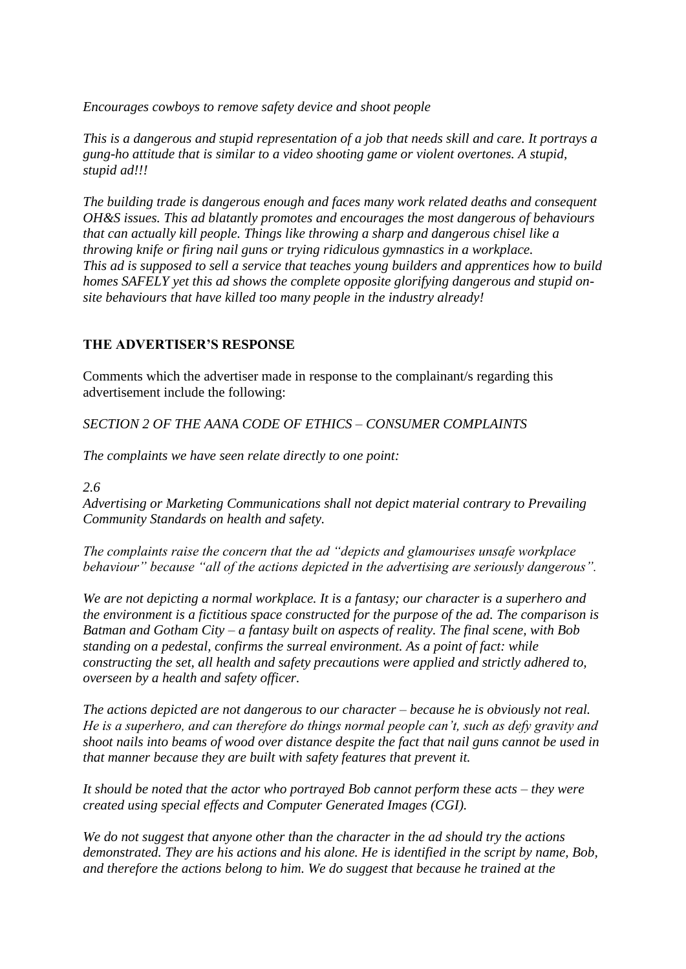*Encourages cowboys to remove safety device and shoot people*

*This is a dangerous and stupid representation of a job that needs skill and care. It portrays a gung-ho attitude that is similar to a video shooting game or violent overtones. A stupid, stupid ad!!!*

*The building trade is dangerous enough and faces many work related deaths and consequent OH&S issues. This ad blatantly promotes and encourages the most dangerous of behaviours that can actually kill people. Things like throwing a sharp and dangerous chisel like a throwing knife or firing nail guns or trying ridiculous gymnastics in a workplace. This ad is supposed to sell a service that teaches young builders and apprentices how to build homes SAFELY yet this ad shows the complete opposite glorifying dangerous and stupid onsite behaviours that have killed too many people in the industry already!*

## **THE ADVERTISER'S RESPONSE**

Comments which the advertiser made in response to the complainant/s regarding this advertisement include the following:

*SECTION 2 OF THE AANA CODE OF ETHICS – CONSUMER COMPLAINTS*

*The complaints we have seen relate directly to one point:*

*2.6*

*Advertising or Marketing Communications shall not depict material contrary to Prevailing Community Standards on health and safety.*

*The complaints raise the concern that the ad "depicts and glamourises unsafe workplace behaviour" because "all of the actions depicted in the advertising are seriously dangerous".*

*We are not depicting a normal workplace. It is a fantasy; our character is a superhero and the environment is a fictitious space constructed for the purpose of the ad. The comparison is Batman and Gotham City – a fantasy built on aspects of reality. The final scene, with Bob standing on a pedestal, confirms the surreal environment. As a point of fact: while constructing the set, all health and safety precautions were applied and strictly adhered to, overseen by a health and safety officer.*

*The actions depicted are not dangerous to our character – because he is obviously not real. He is a superhero, and can therefore do things normal people can't, such as defy gravity and shoot nails into beams of wood over distance despite the fact that nail guns cannot be used in that manner because they are built with safety features that prevent it.*

*It should be noted that the actor who portrayed Bob cannot perform these acts – they were created using special effects and Computer Generated Images (CGI).*

*We do not suggest that anyone other than the character in the ad should try the actions demonstrated. They are his actions and his alone. He is identified in the script by name, Bob, and therefore the actions belong to him. We do suggest that because he trained at the*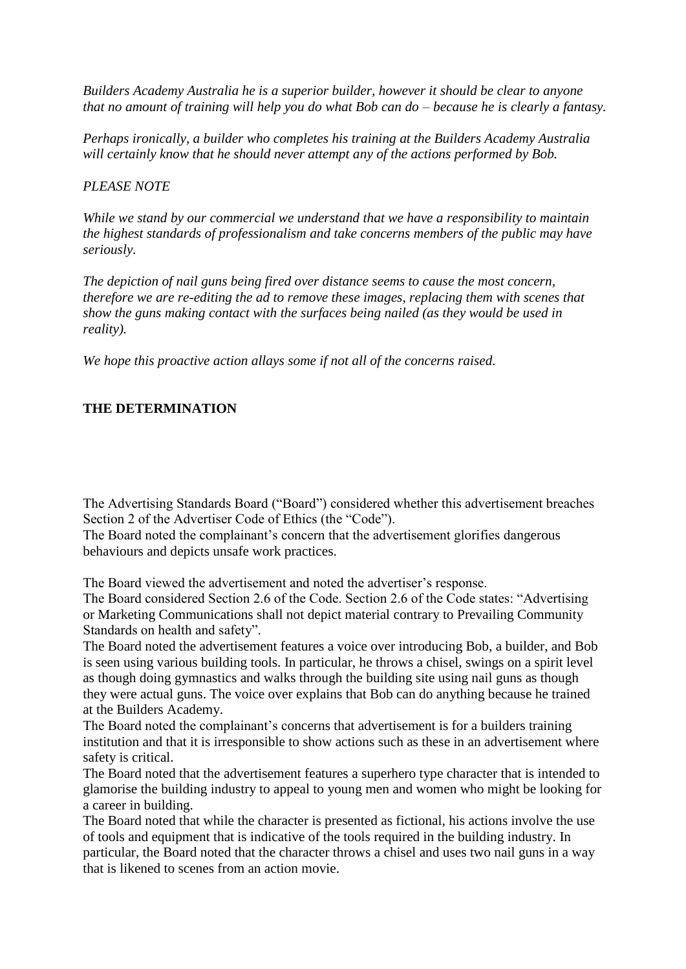*Builders Academy Australia he is a superior builder, however it should be clear to anyone that no amount of training will help you do what Bob can do – because he is clearly a fantasy.*

*Perhaps ironically, a builder who completes his training at the Builders Academy Australia will certainly know that he should never attempt any of the actions performed by Bob.*

### *PLEASE NOTE*

*While we stand by our commercial we understand that we have a responsibility to maintain the highest standards of professionalism and take concerns members of the public may have seriously.*

*The depiction of nail guns being fired over distance seems to cause the most concern, therefore we are re-editing the ad to remove these images, replacing them with scenes that show the guns making contact with the surfaces being nailed (as they would be used in reality).*

*We hope this proactive action allays some if not all of the concerns raised.*

## **THE DETERMINATION**

The Advertising Standards Board ("Board") considered whether this advertisement breaches Section 2 of the Advertiser Code of Ethics (the "Code").

The Board noted the complainant's concern that the advertisement glorifies dangerous behaviours and depicts unsafe work practices.

The Board viewed the advertisement and noted the advertiser's response.

The Board considered Section 2.6 of the Code. Section 2.6 of the Code states: "Advertising or Marketing Communications shall not depict material contrary to Prevailing Community Standards on health and safety".

The Board noted the advertisement features a voice over introducing Bob, a builder, and Bob is seen using various building tools. In particular, he throws a chisel, swings on a spirit level as though doing gymnastics and walks through the building site using nail guns as though they were actual guns. The voice over explains that Bob can do anything because he trained at the Builders Academy.

The Board noted the complainant's concerns that advertisement is for a builders training institution and that it is irresponsible to show actions such as these in an advertisement where safety is critical.

The Board noted that the advertisement features a superhero type character that is intended to glamorise the building industry to appeal to young men and women who might be looking for a career in building.

The Board noted that while the character is presented as fictional, his actions involve the use of tools and equipment that is indicative of the tools required in the building industry. In particular, the Board noted that the character throws a chisel and uses two nail guns in a way that is likened to scenes from an action movie.